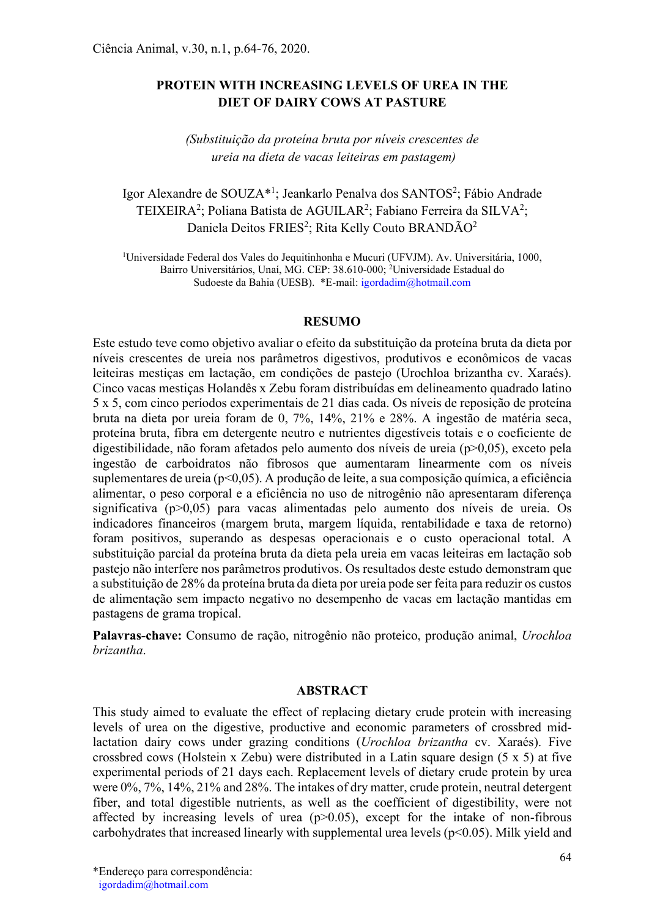# PROTEIN WITH INCREASING LEVELS OF UREA IN THE DIET OF DAIRY COWS AT PASTURE

# (Substituição da proteína bruta por níveis crescentes de ureia na dieta de vacas leiteiras em pastagem)

# Igor Alexandre de SOUZA\*<sup>1</sup>; Jeankarlo Penalva dos SANTOS<sup>2</sup>; Fábio Andrade TEIXEIRA<sup>2</sup>; Poliana Batista de AGUILAR<sup>2</sup>; Fabiano Ferreira da SILVA<sup>2</sup>; Daniela Deitos FRIES<sup>2</sup>; Rita Kelly Couto BRANDÃO<sup>2</sup>

<sup>1</sup>Universidade Federal dos Vales do Jequitinhonha e Mucuri (UFVJM). Av. Universitária, 1000, Bairro Universitários, Unaí, MG. CEP: 38.610-000; <sup>2</sup>Universidade Estadual do Sudoeste da Bahia (UESB). \*E-mail: igordadim@hotmail.com

#### RESUMO

Este estudo teve como objetivo avaliar o efeito da substituição da proteína bruta da dieta por níveis crescentes de ureia nos parâmetros digestivos, produtivos e econômicos de vacas leiteiras mestiças em lactação, em condições de pastejo (Urochloa brizantha cv. Xaraés). Cinco vacas mestiças Holandês x Zebu foram distribuídas em delineamento quadrado latino 5 x 5, com cinco períodos experimentais de 21 dias cada. Os níveis de reposição de proteína bruta na dieta por ureia foram de 0, 7%, 14%, 21% e 28%. A ingestão de matéria seca, proteína bruta, fibra em detergente neutro e nutrientes digestíveis totais e o coeficiente de digestibilidade, não foram afetados pelo aumento dos níveis de ureia (p>0,05), exceto pela ingestão de carboidratos não fibrosos que aumentaram linearmente com os níveis suplementares de ureia (p<0,05). A produção de leite, a sua composição química, a eficiência alimentar, o peso corporal e a eficiência no uso de nitrogênio não apresentaram diferença significativa (p>0,05) para vacas alimentadas pelo aumento dos níveis de ureia. Os indicadores financeiros (margem bruta, margem líquida, rentabilidade e taxa de retorno) foram positivos, superando as despesas operacionais e o custo operacional total. A substituição parcial da proteína bruta da dieta pela ureia em vacas leiteiras em lactação sob pastejo não interfere nos parâmetros produtivos. Os resultados deste estudo demonstram que a substituição de 28% da proteína bruta da dieta por ureia pode ser feita para reduzir os custos de alimentação sem impacto negativo no desempenho de vacas em lactação mantidas em pastagens de grama tropical.

Palavras-chave: Consumo de ração, nitrogênio não proteico, produção animal, Urochloa brizantha.

## ABSTRACT

This study aimed to evaluate the effect of replacing dietary crude protein with increasing levels of urea on the digestive, productive and economic parameters of crossbred midlactation dairy cows under grazing conditions (Urochloa brizantha cv. Xaraés). Five crossbred cows (Holstein x Zebu) were distributed in a Latin square design (5 x 5) at five experimental periods of 21 days each. Replacement levels of dietary crude protein by urea were 0%, 7%, 14%, 21% and 28%. The intakes of dry matter, crude protein, neutral detergent fiber, and total digestible nutrients, as well as the coefficient of digestibility, were not affected by increasing levels of urea  $(p>0.05)$ , except for the intake of non-fibrous carbohydrates that increased linearly with supplemental urea levels ( $p<0.05$ ). Milk yield and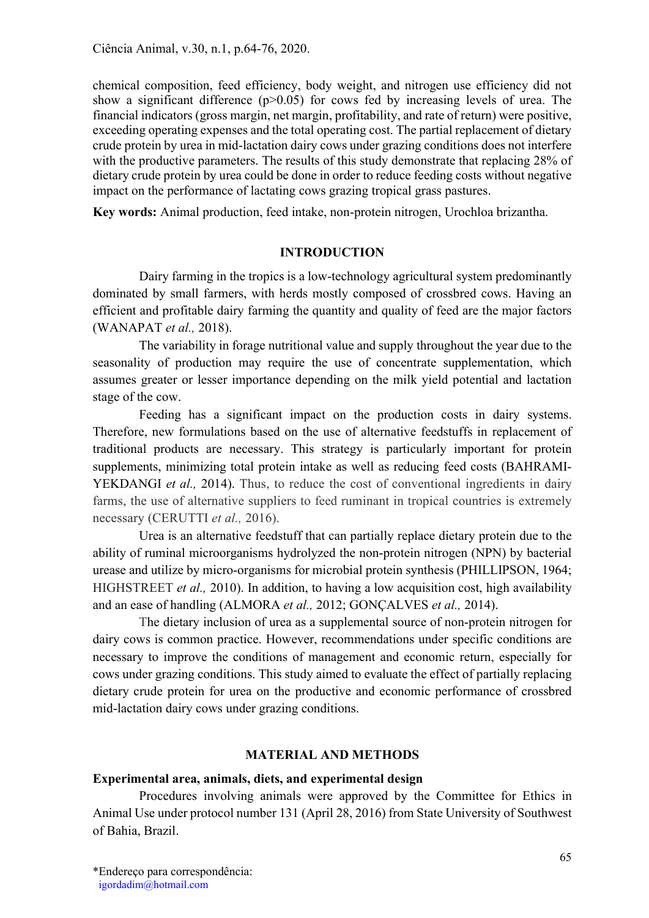chemical composition, feed efficiency, body weight, and nitrogen use efficiency did not show a significant difference  $(p>0.05)$  for cows fed by increasing levels of urea. The financial indicators (gross margin, net margin, profitability, and rate of return) were positive, exceeding operating expenses and the total operating cost. The partial replacement of dietary crude protein by urea in mid-lactation dairy cows under grazing conditions does not interfere with the productive parameters. The results of this study demonstrate that replacing 28% of dietary crude protein by urea could be done in order to reduce feeding costs without negative impact on the performance of lactating cows grazing tropical grass pastures.

Key words: Animal production, feed intake, non-protein nitrogen, Urochloa brizantha.

### INTRODUCTION

Dairy farming in the tropics is a low-technology agricultural system predominantly dominated by small farmers, with herds mostly composed of crossbred cows. Having an efficient and profitable dairy farming the quantity and quality of feed are the major factors (WANAPAT et al., 2018).

The variability in forage nutritional value and supply throughout the year due to the seasonality of production may require the use of concentrate supplementation, which assumes greater or lesser importance depending on the milk yield potential and lactation stage of the cow.

Feeding has a significant impact on the production costs in dairy systems. Therefore, new formulations based on the use of alternative feedstuffs in replacement of traditional products are necessary. This strategy is particularly important for protein supplements, minimizing total protein intake as well as reducing feed costs (BAHRAMI-YEKDANGI et al., 2014). Thus, to reduce the cost of conventional ingredients in dairy farms, the use of alternative suppliers to feed ruminant in tropical countries is extremely necessary (CERUTTI et al., 2016).

Urea is an alternative feedstuff that can partially replace dietary protein due to the ability of ruminal microorganisms hydrolyzed the non-protein nitrogen (NPN) by bacterial urease and utilize by micro‐organisms for microbial protein synthesis (PHILLIPSON, 1964; HIGHSTREET et al., 2010). In addition, to having a low acquisition cost, high availability and an ease of handling (ALMORA et al., 2012; GONÇALVES et al., 2014).

The dietary inclusion of urea as a supplemental source of non-protein nitrogen for dairy cows is common practice. However, recommendations under specific conditions are necessary to improve the conditions of management and economic return, especially for cows under grazing conditions. This study aimed to evaluate the effect of partially replacing dietary crude protein for urea on the productive and economic performance of crossbred mid-lactation dairy cows under grazing conditions.

#### MATERIAL AND METHODS

#### Experimental area, animals, diets, and experimental design

Procedures involving animals were approved by the Committee for Ethics in Animal Use under protocol number 131 (April 28, 2016) from State University of Southwest of Bahia, Brazil.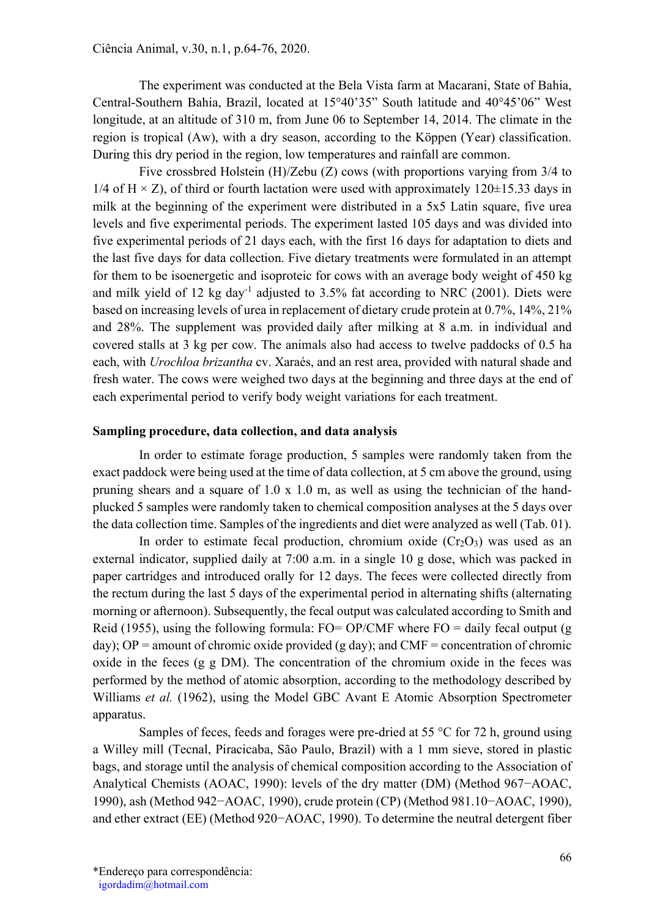The experiment was conducted at the Bela Vista farm at Macarani, State of Bahia, Central-Southern Bahia, Brazil, located at 15°40'35" South latitude and 40°45'06" West longitude, at an altitude of 310 m, from June 06 to September 14, 2014. The climate in the region is tropical (Aw), with a dry season, according to the Köppen (Year) classification. During this dry period in the region, low temperatures and rainfall are common.

Five crossbred Holstein (H)/Zebu (Z) cows (with proportions varying from 3/4 to 1/4 of H  $\times$  Z), of third or fourth lactation were used with approximately 120 $\pm$ 15.33 days in milk at the beginning of the experiment were distributed in a 5x5 Latin square, five urea levels and five experimental periods. The experiment lasted 105 days and was divided into five experimental periods of 21 days each, with the first 16 days for adaptation to diets and the last five days for data collection. Five dietary treatments were formulated in an attempt for them to be isoenergetic and isoproteic for cows with an average body weight of 450 kg and milk yield of 12 kg day<sup>-1</sup> adjusted to  $3.5\%$  fat according to NRC (2001). Diets were based on increasing levels of urea in replacement of dietary crude protein at 0.7%, 14%, 21% and 28%. The supplement was provided daily after milking at 8 a.m. in individual and covered stalls at 3 kg per cow. The animals also had access to twelve paddocks of 0.5 ha each, with Urochloa brizantha cv. Xaraés, and an rest area, provided with natural shade and fresh water. The cows were weighed two days at the beginning and three days at the end of each experimental period to verify body weight variations for each treatment.

#### Sampling procedure, data collection, and data analysis

In order to estimate forage production, 5 samples were randomly taken from the exact paddock were being used at the time of data collection, at 5 cm above the ground, using pruning shears and a square of 1.0 x 1.0 m, as well as using the technician of the handplucked 5 samples were randomly taken to chemical composition analyses at the 5 days over the data collection time. Samples of the ingredients and diet were analyzed as well (Tab. 01).

In order to estimate fecal production, chromium oxide  $(Cr_2O_3)$  was used as an external indicator, supplied daily at 7:00 a.m. in a single 10 g dose, which was packed in paper cartridges and introduced orally for 12 days. The feces were collected directly from the rectum during the last 5 days of the experimental period in alternating shifts (alternating morning or afternoon). Subsequently, the fecal output was calculated according to Smith and Reid (1955), using the following formula:  $FO = OP/CMF$  where  $FO =$  daily fecal output (g) day); OP = amount of chromic oxide provided (g day); and CMF = concentration of chromic oxide in the feces (g g DM). The concentration of the chromium oxide in the feces was performed by the method of atomic absorption, according to the methodology described by Williams et al. (1962), using the Model GBC Avant E Atomic Absorption Spectrometer apparatus.

Samples of feces, feeds and forages were pre-dried at 55 °C for 72 h, ground using a Willey mill (Tecnal, Piracicaba, São Paulo, Brazil) with a 1 mm sieve, stored in plastic bags, and storage until the analysis of chemical composition according to the Association of Analytical Chemists (AOAC, 1990): levels of the dry matter (DM) (Method 967−AOAC, 1990), ash (Method 942−AOAC, 1990), crude protein (CP) (Method 981.10−AOAC, 1990), and ether extract (EE) (Method 920−AOAC, 1990). To determine the neutral detergent fiber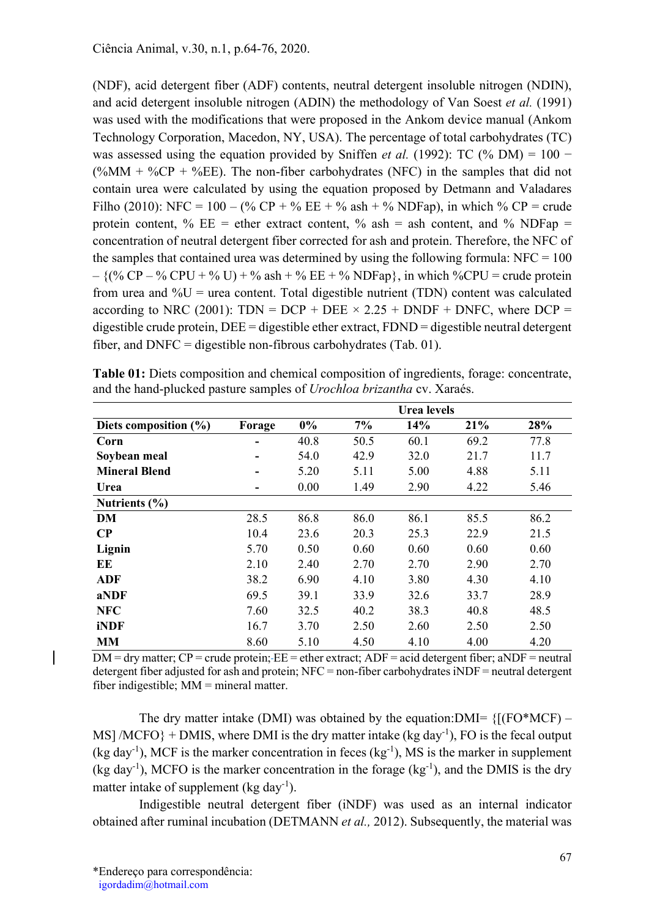(NDF), acid detergent fiber (ADF) contents, neutral detergent insoluble nitrogen (NDIN), and acid detergent insoluble nitrogen (ADIN) the methodology of Van Soest et al. (1991) was used with the modifications that were proposed in the Ankom device manual (Ankom Technology Corporation, Macedon, NY, USA). The percentage of total carbohydrates (TC) was assessed using the equation provided by Sniffen et al. (1992): TC (% DM) =  $100 -$ (%MM + %CP + %EE). The non-fiber carbohydrates (NFC) in the samples that did not contain urea were calculated by using the equation proposed by Detmann and Valadares Filho (2010): NFC = 100 – (% CP + % EE + % ash + % NDFap), in which % CP = crude protein content, %  $EE =$  ether extract content, % ash = ash content, and % NDFap = concentration of neutral detergent fiber corrected for ash and protein. Therefore, the NFC of the samples that contained urea was determined by using the following formula:  $NFC = 100$  $-$  {(% CP – % CPU + % U) + % ash + % EE + % NDFap}, in which %CPU = crude protein from urea and  $\%U$  = urea content. Total digestible nutrient (TDN) content was calculated according to NRC (2001): TDN = DCP + DEE  $\times$  2.25 + DNDF + DNFC, where DCP = digestible crude protein, DEE = digestible ether extract, FDND = digestible neutral detergent fiber, and  $DNFC =$  digestible non-fibrous carbohydrates (Tab. 01).

|                       |        |       |      | <b>Urea</b> levels |      |      |
|-----------------------|--------|-------|------|--------------------|------|------|
| Diets composition (%) | Forage | $0\%$ | 7%   | 14%                | 21%  | 28%  |
| Corn                  |        | 40.8  | 50.5 | 60.1               | 69.2 | 77.8 |
| Soybean meal          |        | 54.0  | 42.9 | 32.0               | 21.7 | 11.7 |
| <b>Mineral Blend</b>  |        | 5.20  | 5.11 | 5.00               | 4.88 | 5.11 |
| Urea                  |        | 0.00  | 1.49 | 2.90               | 4.22 | 5.46 |
| Nutrients $(\% )$     |        |       |      |                    |      |      |
| DM                    | 28.5   | 86.8  | 86.0 | 86.1               | 85.5 | 86.2 |
| $\bf CP$              | 10.4   | 23.6  | 20.3 | 25.3               | 22.9 | 21.5 |
| Lignin                | 5.70   | 0.50  | 0.60 | 0.60               | 0.60 | 0.60 |
| EЕ                    | 2.10   | 2.40  | 2.70 | 2.70               | 2.90 | 2.70 |
| <b>ADF</b>            | 38.2   | 6.90  | 4.10 | 3.80               | 4.30 | 4.10 |
| aNDF                  | 69.5   | 39.1  | 33.9 | 32.6               | 33.7 | 28.9 |
| <b>NFC</b>            | 7.60   | 32.5  | 40.2 | 38.3               | 40.8 | 48.5 |
| iNDF                  | 16.7   | 3.70  | 2.50 | 2.60               | 2.50 | 2.50 |
| <b>MM</b>             | 8.60   | 5.10  | 4.50 | 4.10               | 4.00 | 4.20 |

Table 01: Diets composition and chemical composition of ingredients, forage: concentrate, and the hand-plucked pasture samples of Urochloa brizantha cv. Xaraés.

 $DM =$  dry matter;  $CP =$  crude protein;  $-EE =$  ether extract;  $ADF =$  acid detergent fiber; aNDF = neutral detergent fiber adjusted for ash and protein; NFC = non-fiber carbohydrates iNDF = neutral detergent fiber indigestible; MM = mineral matter.

The dry matter intake (DMI) was obtained by the equation: DMI=  $\{[(FO*MCF) -$ MS] /MCFO} + DMIS, where DMI is the dry matter intake (kg day<sup>-1</sup>), FO is the fecal output (kg day<sup>-1</sup>), MCF is the marker concentration in feces (kg<sup>-1</sup>), MS is the marker in supplement (kg day<sup>-1</sup>), MCFO is the marker concentration in the forage (kg<sup>-1</sup>), and the DMIS is the dry matter intake of supplement (kg day<sup>-1</sup>).

Indigestible neutral detergent fiber (iNDF) was used as an internal indicator obtained after ruminal incubation (DETMANN *et al.*, 2012). Subsequently, the material was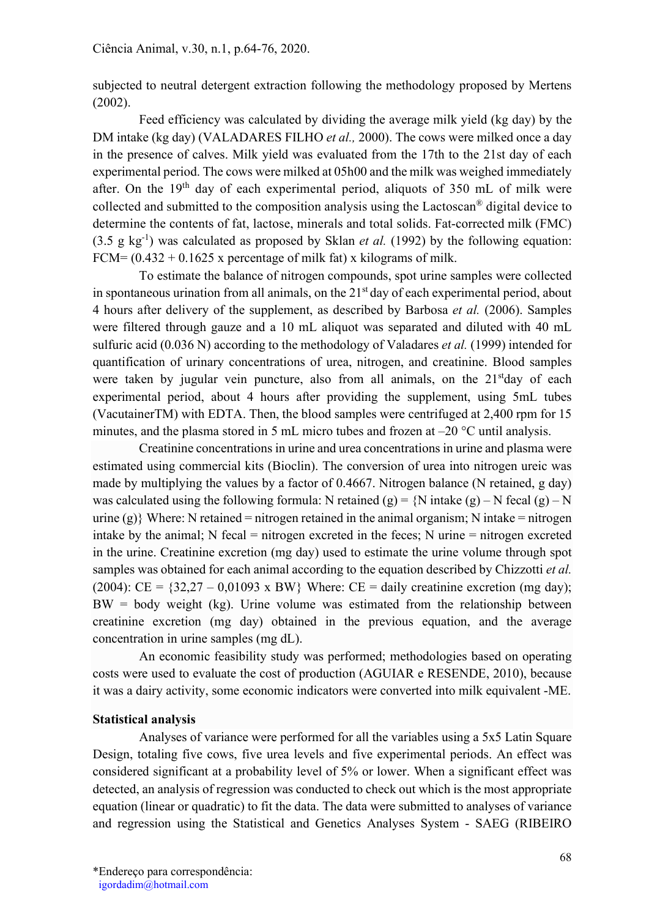subjected to neutral detergent extraction following the methodology proposed by Mertens (2002).

Feed efficiency was calculated by dividing the average milk yield (kg day) by the DM intake (kg day) (VALADARES FILHO *et al.*, 2000). The cows were milked once a day in the presence of calves. Milk yield was evaluated from the 17th to the 21st day of each experimental period. The cows were milked at 05h00 and the milk was weighed immediately after. On the  $19<sup>th</sup>$  day of each experimental period, aliquots of 350 mL of milk were collected and submitted to the composition analysis using the Lactoscan® digital device to determine the contents of fat, lactose, minerals and total solids. Fat-corrected milk (FMC) (3.5 g  $kg^{-1}$ ) was calculated as proposed by Sklan *et al.* (1992) by the following equation: FCM=  $(0.432 + 0.1625$  x percentage of milk fat) x kilograms of milk.

To estimate the balance of nitrogen compounds, spot urine samples were collected in spontaneous urination from all animals, on the  $21<sup>st</sup>$  day of each experimental period, about 4 hours after delivery of the supplement, as described by Barbosa et al. (2006). Samples were filtered through gauze and a 10 mL aliquot was separated and diluted with 40 mL sulfuric acid (0.036 N) according to the methodology of Valadares *et al.* (1999) intended for quantification of urinary concentrations of urea, nitrogen, and creatinine. Blood samples were taken by jugular vein puncture, also from all animals, on the  $21<sup>st</sup>$ day of each experimental period, about 4 hours after providing the supplement, using 5mL tubes (VacutainerTM) with EDTA. Then, the blood samples were centrifuged at 2,400 rpm for 15 minutes, and the plasma stored in 5 mL micro tubes and frozen at –20 °C until analysis.

Creatinine concentrations in urine and urea concentrations in urine and plasma were estimated using commercial kits (Bioclin). The conversion of urea into nitrogen ureic was made by multiplying the values by a factor of 0.4667. Nitrogen balance (N retained, g day) was calculated using the following formula: N retained (g) =  $\{N \text{ intake (g)} - N \text{ fecal (g)} - N\}$ urine  $(g)$ } Where: N retained = nitrogen retained in the animal organism; N intake = nitrogen intake by the animal; N fecal = nitrogen excreted in the feces; N urine = nitrogen excreted in the urine. Creatinine excretion (mg day) used to estimate the urine volume through spot samples was obtained for each animal according to the equation described by Chizzotti *et al.* (2004):  $CE = \{32,27 - 0,01093 \times BW\}$  Where:  $CE = \text{daily creation (mg day)}$ ;  $BW = body weight (kg)$ . Urine volume was estimated from the relationship between creatinine excretion (mg day) obtained in the previous equation, and the average concentration in urine samples (mg dL).

An economic feasibility study was performed; methodologies based on operating costs were used to evaluate the cost of production (AGUIAR e RESENDE, 2010), because it was a dairy activity, some economic indicators were converted into milk equivalent -ME.

### Statistical analysis

Analyses of variance were performed for all the variables using a 5x5 Latin Square Design, totaling five cows, five urea levels and five experimental periods. An effect was considered significant at a probability level of 5% or lower. When a significant effect was detected, an analysis of regression was conducted to check out which is the most appropriate equation (linear or quadratic) to fit the data. The data were submitted to analyses of variance and regression using the Statistical and Genetics Analyses System - SAEG (RIBEIRO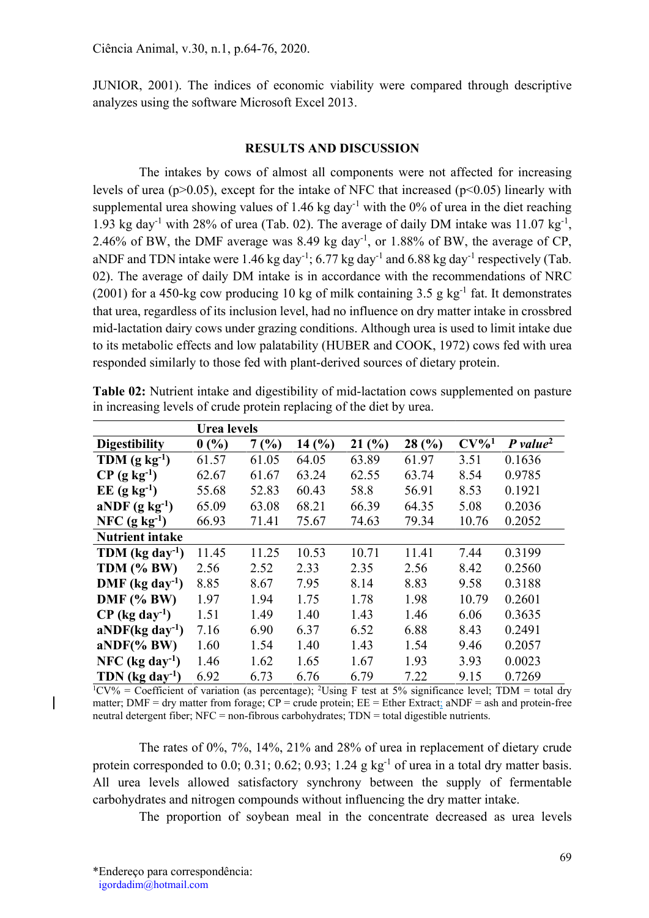JUNIOR, 2001). The indices of economic viability were compared through descriptive analyzes using the software Microsoft Excel 2013.

#### RESULTS AND DISCUSSION

The intakes by cows of almost all components were not affected for increasing levels of urea ( $p > 0.05$ ), except for the intake of NFC that increased ( $p < 0.05$ ) linearly with supplemental urea showing values of 1.46 kg day<sup>-1</sup> with the 0% of urea in the diet reaching 1.93 kg day<sup>-1</sup> with 28% of urea (Tab. 02). The average of daily DM intake was  $11.07 \text{ kg}^{-1}$ , 2.46% of BW, the DMF average was 8.49 kg day<sup>-1</sup>, or 1.88% of BW, the average of CP, aNDF and TDN intake were 1.46 kg day<sup>-1</sup>; 6.77 kg day<sup>-1</sup> and 6.88 kg day<sup>-1</sup> respectively (Tab. 02). The average of daily DM intake is in accordance with the recommendations of NRC (2001) for a 450-kg cow producing 10 kg of milk containing 3.5 g kg<sup>-1</sup> fat. It demonstrates that urea, regardless of its inclusion level, had no influence on dry matter intake in crossbred mid-lactation dairy cows under grazing conditions. Although urea is used to limit intake due to its metabolic effects and low palatability (HUBER and COOK, 1972) cows fed with urea responded similarly to those fed with plant‐derived sources of dietary protein.

|                               | Urea levels |       |       |       |       |         |                        |  |  |
|-------------------------------|-------------|-------|-------|-------|-------|---------|------------------------|--|--|
| <b>Digestibility</b>          | 0(%)        | 7(%)  | 14(%) | 21(%) | 28(%) | $CV\%1$ | $P$ value <sup>2</sup> |  |  |
| TDM $(g \ kg^{-1})$           | 61.57       | 61.05 | 64.05 | 63.89 | 61.97 | 3.51    | 0.1636                 |  |  |
| $CP$ (g kg <sup>-1</sup> )    | 62.67       | 61.67 | 63.24 | 62.55 | 63.74 | 8.54    | 0.9785                 |  |  |
| $EE$ (g kg <sup>-1</sup> )    | 55.68       | 52.83 | 60.43 | 58.8  | 56.91 | 8.53    | 0.1921                 |  |  |
| aNDF $(g \text{ kg}^{-1})$    | 65.09       | 63.08 | 68.21 | 66.39 | 64.35 | 5.08    | 0.2036                 |  |  |
| NFC $(g \ kg^{-1})$           | 66.93       | 71.41 | 75.67 | 74.63 | 79.34 | 10.76   | 0.2052                 |  |  |
| <b>Nutrient intake</b>        |             |       |       |       |       |         |                        |  |  |
| TDM $(kg \, day^{-1})$        | 11.45       | 11.25 | 10.53 | 10.71 | 11.41 | 7.44    | 0.3199                 |  |  |
| TDM (% BW)                    | 2.56        | 2.52  | 2.33  | 2.35  | 2.56  | 8.42    | 0.2560                 |  |  |
| $DMF$ (kg day <sup>-1</sup> ) | 8.85        | 8.67  | 7.95  | 8.14  | 8.83  | 9.58    | 0.3188                 |  |  |
| $DMF$ (% BW)                  | 1.97        | 1.94  | 1.75  | 1.78  | 1.98  | 10.79   | 0.2601                 |  |  |
| $CP$ (kg day <sup>-1</sup> )  | 1.51        | 1.49  | 1.40  | 1.43  | 1.46  | 6.06    | 0.3635                 |  |  |
| $aNDF(kg day-1)$              | 7.16        | 6.90  | 6.37  | 6.52  | 6.88  | 8.43    | 0.2491                 |  |  |
| $aNDF(\% BW)$                 | 1.60        | 1.54  | 1.40  | 1.43  | 1.54  | 9.46    | 0.2057                 |  |  |
| NFC ( $kg \, day^{-1}$ )      | 1.46        | 1.62  | 1.65  | 1.67  | 1.93  | 3.93    | 0.0023                 |  |  |
| TDN $(kg \, day^{-1})$        | 6.92        | 6.73  | 6.76  | 6.79  | 7.22  | 9.15    | 0.7269                 |  |  |

Table 02: Nutrient intake and digestibility of mid-lactation cows supplemented on pasture in increasing levels of crude protein replacing of the diet by urea.

<sup>1</sup>CV% = Coefficient of variation (as percentage); <sup>2</sup>Using F test at 5% significance level; TDM = total dry matter;  $DMF = dry$  matter from forage;  $CP = crude$  protein;  $EE = Ethernet$  Extract;  $aNDF = ash$  and protein-free neutral detergent fiber; NFC = non-fibrous carbohydrates; TDN = total digestible nutrients.

The rates of 0%, 7%, 14%, 21% and 28% of urea in replacement of dietary crude protein corresponded to 0.0; 0.31; 0.62; 0.93; 1.24 g kg<sup>-1</sup> of urea in a total dry matter basis. All urea levels allowed satisfactory synchrony between the supply of fermentable carbohydrates and nitrogen compounds without influencing the dry matter intake.

The proportion of soybean meal in the concentrate decreased as urea levels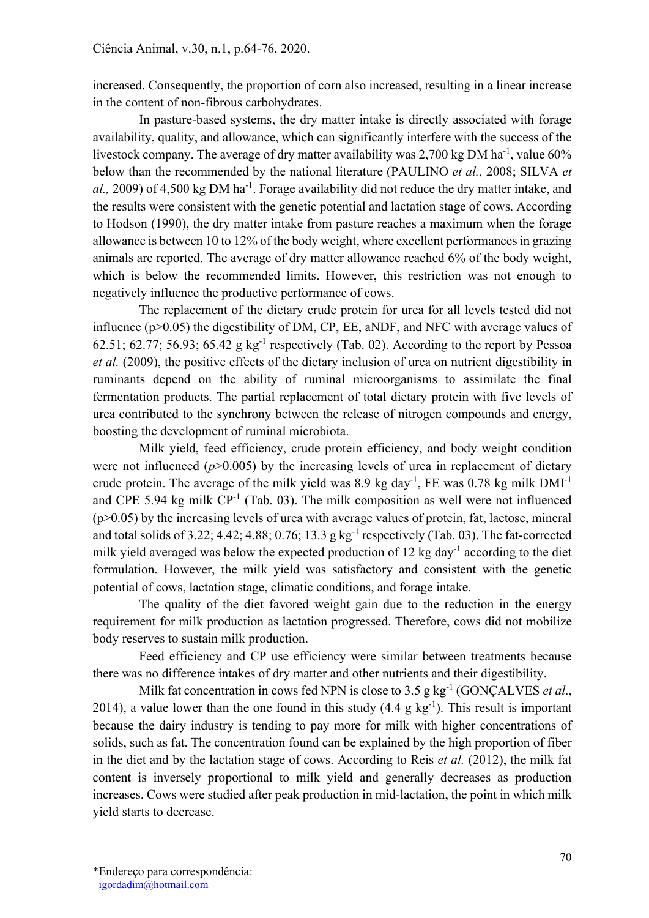increased. Consequently, the proportion of corn also increased, resulting in a linear increase in the content of non-fibrous carbohydrates.

In pasture-based systems, the dry matter intake is directly associated with forage availability, quality, and allowance, which can significantly interfere with the success of the livestock company. The average of dry matter availability was  $2,700$  kg DM ha<sup>-1</sup>, value  $60\%$ below than the recommended by the national literature (PAULINO et al., 2008; SILVA et al., 2009) of 4,500 kg DM ha<sup>-1</sup>. Forage availability did not reduce the dry matter intake, and the results were consistent with the genetic potential and lactation stage of cows. According to Hodson (1990), the dry matter intake from pasture reaches a maximum when the forage allowance is between 10 to 12% of the body weight, where excellent performances in grazing animals are reported. The average of dry matter allowance reached 6% of the body weight, which is below the recommended limits. However, this restriction was not enough to negatively influence the productive performance of cows.

The replacement of the dietary crude protein for urea for all levels tested did not influence (p>0.05) the digestibility of DM, CP, EE, aNDF, and NFC with average values of 62.51; 62.77; 56.93; 65.42 g  $kg^{-1}$  respectively (Tab. 02). According to the report by Pessoa et al. (2009), the positive effects of the dietary inclusion of urea on nutrient digestibility in ruminants depend on the ability of ruminal microorganisms to assimilate the final fermentation products. The partial replacement of total dietary protein with five levels of urea contributed to the synchrony between the release of nitrogen compounds and energy, boosting the development of ruminal microbiota.

Milk yield, feed efficiency, crude protein efficiency, and body weight condition were not influenced  $(p>0.005)$  by the increasing levels of urea in replacement of dietary crude protein. The average of the milk yield was 8.9 kg day<sup>-1</sup>, FE was 0.78 kg milk  $DMI^{-1}$ and CPE 5.94 kg milk  $CP^{-1}$  (Tab. 03). The milk composition as well were not influenced (p>0.05) by the increasing levels of urea with average values of protein, fat, lactose, mineral and total solids of 3.22; 4.42; 4.88; 0.76; 13.3 g kg<sup>-1</sup> respectively (Tab. 03). The fat-corrected milk yield averaged was below the expected production of 12 kg day<sup>-1</sup> according to the diet formulation. However, the milk yield was satisfactory and consistent with the genetic potential of cows, lactation stage, climatic conditions, and forage intake.

The quality of the diet favored weight gain due to the reduction in the energy requirement for milk production as lactation progressed. Therefore, cows did not mobilize body reserves to sustain milk production.

Feed efficiency and CP use efficiency were similar between treatments because there was no difference intakes of dry matter and other nutrients and their digestibility.

Milk fat concentration in cows fed NPN is close to 3.5 g kg<sup>-1</sup> (GONCALVES *et al.*, 2014), a value lower than the one found in this study  $(4.4 \text{ g kg}^{-1})$ . This result is important because the dairy industry is tending to pay more for milk with higher concentrations of solids, such as fat. The concentration found can be explained by the high proportion of fiber in the diet and by the lactation stage of cows. According to Reis *et al.* (2012), the milk fat content is inversely proportional to milk yield and generally decreases as production increases. Cows were studied after peak production in mid-lactation, the point in which milk yield starts to decrease.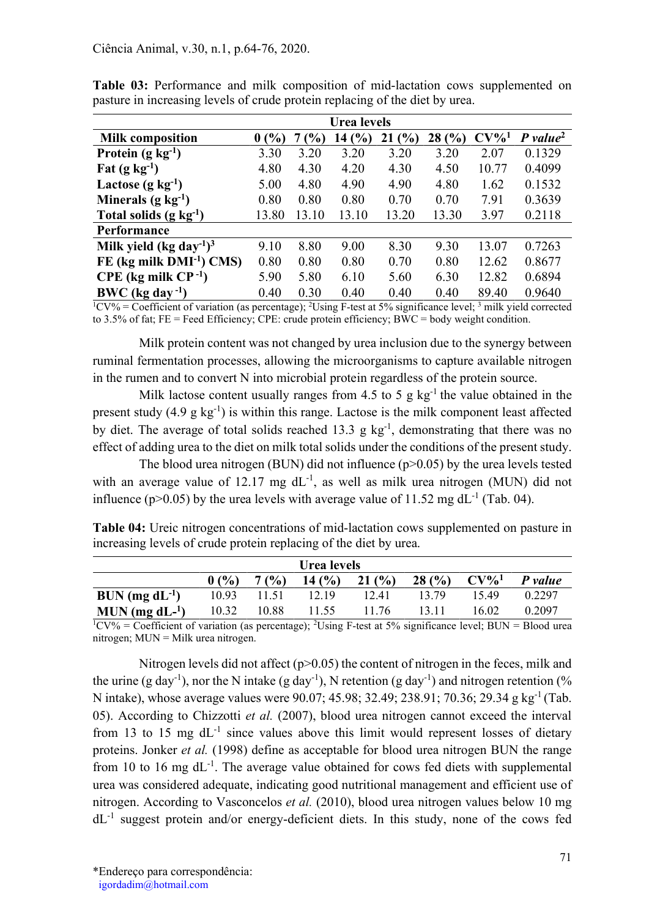|                                                 | Urea levels |       |       |       |       |         |                        |  |  |
|-------------------------------------------------|-------------|-------|-------|-------|-------|---------|------------------------|--|--|
| <b>Milk composition</b>                         | 0(%)        | (%)   | 14(%) | 21(%) | 28(%) | $CV\%1$ | $P$ value <sup>2</sup> |  |  |
| Protein $(g \ kg^{-1})$                         | 3.30        | 3.20  | 3.20  | 3.20  | 3.20  | 2.07    | 0.1329                 |  |  |
| Fat $(g \text{ kg}^{-1})$                       | 4.80        | 4.30  | 4.20  | 4.30  | 4.50  | 10.77   | 0.4099                 |  |  |
| Lactose $(g \ kg^{-1})$                         | 5.00        | 4.80  | 4.90  | 4.90  | 4.80  | 1.62    | 0.1532                 |  |  |
| Minerals $(g \text{ kg}^{-1})$                  | 0.80        | 0.80  | 0.80  | 0.70  | 0.70  | 7.91    | 0.3639                 |  |  |
| Total solids $(g \ kg^{-1})$                    | 13.80       | 13.10 | 13.10 | 13.20 | 13.30 | 3.97    | 0.2118                 |  |  |
| Performance                                     |             |       |       |       |       |         |                        |  |  |
| Milk yield (kg day <sup>-1</sup> ) <sup>3</sup> | 9.10        | 8.80  | 9.00  | 8.30  | 9.30  | 13.07   | 0.7263                 |  |  |
| $FE$ (kg milk $DMI^{-1}$ ) CMS)                 | 0.80        | 0.80  | 0.80  | 0.70  | 0.80  | 12.62   | 0.8677                 |  |  |
| $CPE$ (kg milk $CP^{-1}$ )                      | 5.90        | 5.80  | 6.10  | 5.60  | 6.30  | 12.82   | 0.6894                 |  |  |
| $BWC$ (kg day <sup>-1</sup> )                   | 0.40        | 0.30  | 0.40  | 0.40  | 0.40  | 89.40   | 0.9640                 |  |  |

Table 03: Performance and milk composition of mid-lactation cows supplemented on pasture in increasing levels of crude protein replacing of the diet by urea.

 ${}^{1}$ CV% = Coefficient of variation (as percentage); <sup>2</sup>Using F-test at 5% significance level; <sup>3</sup> milk yield corrected to 3.5% of fat; FE = Feed Efficiency; CPE: crude protein efficiency; BWC = body weight condition.

Milk protein content was not changed by urea inclusion due to the synergy between ruminal fermentation processes, allowing the microorganisms to capture available nitrogen in the rumen and to convert N into microbial protein regardless of the protein source.

Milk lactose content usually ranges from 4.5 to 5 g  $kg^{-1}$  the value obtained in the present study  $(4.9 \text{ g kg}^{-1})$  is within this range. Lactose is the milk component least affected by diet. The average of total solids reached 13.3 g  $kg^{-1}$ , demonstrating that there was no effect of adding urea to the diet on milk total solids under the conditions of the present study.

The blood urea nitrogen (BUN) did not influence  $(p>0.05)$  by the urea levels tested with an average value of 12.17 mg  $dL^{-1}$ , as well as milk urea nitrogen (MUN) did not influence (p>0.05) by the urea levels with average value of  $11.52$  mg dL<sup>-1</sup> (Tab. 04).

Table 04: Ureic nitrogen concentrations of mid-lactation cows supplemented on pasture in increasing levels of crude protein replacing of the diet by urea.

| Urea levels                  |       |       |           |       |       |         |         |  |  |
|------------------------------|-------|-------|-----------|-------|-------|---------|---------|--|--|
|                              | 0(%)  | 7(%)  | 14 $(% )$ | 21(%) | 28(%) | $CV\%1$ | P value |  |  |
| $BUN$ (mg dL <sup>-1</sup> ) | 10.93 | 11.51 | 12.19     | 12.41 | 13.79 | 1549    | 0.2297  |  |  |
| $MUN (mg dL-1)$              | 10.32 | 10.88 | 11.55     | 11.76 | 13.11 | 16.02   | 0.2097  |  |  |

 $1$ CV% = Coefficient of variation (as percentage); <sup>2</sup>Using F-test at 5% significance level; BUN = Blood urea nitrogen; MUN = Milk urea nitrogen.

Nitrogen levels did not affect  $(p>0.05)$  the content of nitrogen in the feces, milk and the urine (g day<sup>-1</sup>), nor the N intake (g day<sup>-1</sup>), N retention (g day<sup>-1</sup>) and nitrogen retention (% N intake), whose average values were 90.07; 45.98; 32.49; 238.91; 70.36; 29.34 g kg-1 (Tab. 05). According to Chizzotti et al. (2007), blood urea nitrogen cannot exceed the interval from 13 to 15 mg  $dL^{-1}$  since values above this limit would represent losses of dietary proteins. Jonker et al. (1998) define as acceptable for blood urea nitrogen BUN the range from 10 to 16 mg  $dL^{-1}$ . The average value obtained for cows fed diets with supplemental urea was considered adequate, indicating good nutritional management and efficient use of nitrogen. According to Vasconcelos et al. (2010), blood urea nitrogen values below 10 mg  $dL^{-1}$  suggest protein and/or energy-deficient diets. In this study, none of the cows fed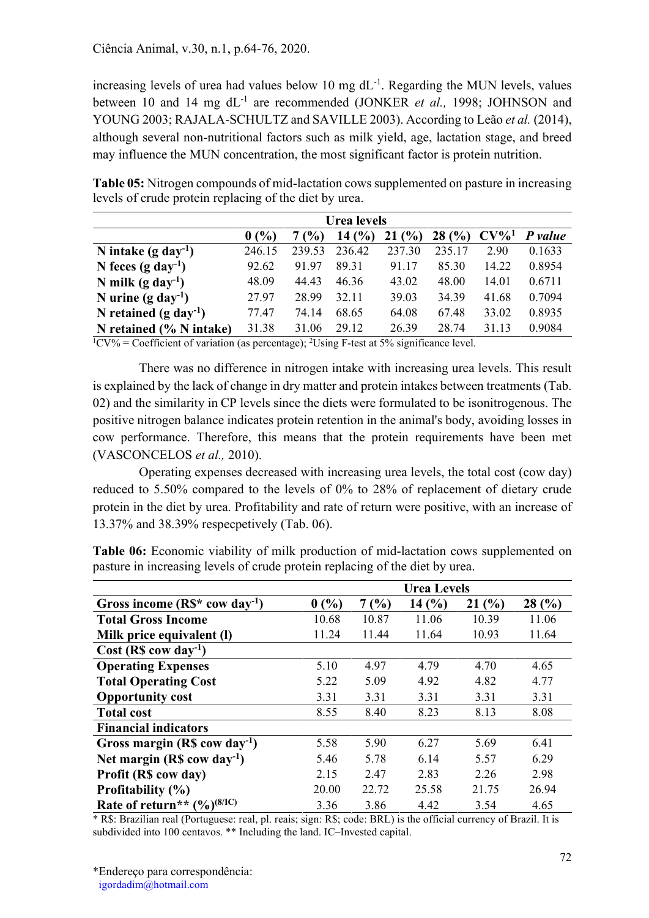increasing levels of urea had values below 10 mg  $dL^{-1}$ . Regarding the MUN levels, values between 10 and 14 mg  $dL^{-1}$  are recommended (JONKER *et al.*, 1998; JOHNSON and YOUNG 2003; RAJALA-SCHULTZ and SAVILLE 2003). According to Leão et al. (2014), although several non-nutritional factors such as milk yield, age, lactation stage, and breed may influence the MUN concentration, the most significant factor is protein nutrition.

Table 05: Nitrogen compounds of mid-lactation cows supplemented on pasture in increasing levels of crude protein replacing of the diet by urea.

|                                | 0(%)   | $\frac{1}{2}$ | 14(%)  | (%)<br>21 | 28(%)  | $CV\%1$ | P value |
|--------------------------------|--------|---------------|--------|-----------|--------|---------|---------|
| N intake $(g \, day^{-1})$     | 246.15 | 239.53        | 236.42 | 237.30    | 235.17 | 2.90    | 0.1633  |
| N feces (g day <sup>-1</sup> ) | 92.62  | 91.97         | 89.31  | 91.17     | 85.30  | 14.22   | 0.8954  |
| N milk (g day <sup>-1</sup> )  | 48.09  | 44.43         | 46.36  | 43.02     | 48.00  | 14.01   | 0.6711  |
| N urine $(g \, day^{-1})$      | 27.97  | 28.99         | 32.11  | 39.03     | 34.39  | 41.68   | 0.7094  |
| N retained $(g \, day^{-1})$   | 77.47  | 74.14         | 68.65  | 64.08     | 67.48  | 33.02   | 0.8935  |
| N retained $(\% N$ intake)     | 31.38  | 31.06         | 29.12  | 26.39     | 28.74  | 31.13   | 0.9084  |

<sup>1</sup>CV% = Coefficient of variation (as percentage); <sup>2</sup>Using F-test at 5% significance level.

There was no difference in nitrogen intake with increasing urea levels. This result is explained by the lack of change in dry matter and protein intakes between treatments (Tab. 02) and the similarity in CP levels since the diets were formulated to be isonitrogenous. The positive nitrogen balance indicates protein retention in the animal's body, avoiding losses in cow performance. Therefore, this means that the protein requirements have been met (VASCONCELOS et al., 2010).

Operating expenses decreased with increasing urea levels, the total cost (cow day) reduced to 5.50% compared to the levels of 0% to 28% of replacement of dietary crude protein in the diet by urea. Profitability and rate of return were positive, with an increase of 13.37% and 38.39% respecpetively (Tab. 06).

| Table 06: Economic viability of milk production of mid-lactation cows supplemented on |  |
|---------------------------------------------------------------------------------------|--|
| pasture in increasing levels of crude protein replacing of the diet by urea.          |  |

|                                                       | <b>Urea Levels</b> |       |       |       |       |  |  |  |
|-------------------------------------------------------|--------------------|-------|-------|-------|-------|--|--|--|
| Gross income $(R\mathbb{S}^*$ cow day <sup>-1</sup> ) | 0(%)               | 7(%)  | 14(%) | 21(%) | 28(%) |  |  |  |
| <b>Total Gross Income</b>                             | 10.68              | 10.87 | 11.06 | 10.39 | 11.06 |  |  |  |
| Milk price equivalent (I)                             | 11.24              | 11.44 | 11.64 | 10.93 | 11.64 |  |  |  |
| Cost (R\$ cow day <sup>-1</sup> )                     |                    |       |       |       |       |  |  |  |
| <b>Operating Expenses</b>                             | 5.10               | 4.97  | 4.79  | 4.70  | 4.65  |  |  |  |
| <b>Total Operating Cost</b>                           | 5.22               | 5.09  | 4.92  | 4.82  | 4.77  |  |  |  |
| <b>Opportunity cost</b>                               | 3.31               | 3.31  | 3.31  | 3.31  | 3.31  |  |  |  |
| <b>Total cost</b>                                     | 8.55               | 8.40  | 8.23  | 8.13  | 8.08  |  |  |  |
| <b>Financial indicators</b>                           |                    |       |       |       |       |  |  |  |
| Gross margin $(R\$ cow day <sup>-1</sup> )            | 5.58               | 5.90  | 6.27  | 5.69  | 6.41  |  |  |  |
| Net margin $(R\$ cow day <sup>-1</sup> )              | 5.46               | 5.78  | 6.14  | 5.57  | 6.29  |  |  |  |
| Profit (R\$ cow day)                                  | 2.15               | 2.47  | 2.83  | 2.26  | 2.98  |  |  |  |
| Profitability $(\% )$                                 | 20.00              | 22.72 | 25.58 | 21.75 | 26.94 |  |  |  |
| Rate of return** $(\frac{9}{0})^{(8/1C)}$             | 3.36               | 3.86  | 4.42  | 3.54  | 4.65  |  |  |  |

\* R\$: Brazilian real (Portuguese: real, pl. reais; sign: R\$; code: BRL) is the official currency of Brazil. It is subdivided into 100 centavos. \*\* Including the land. IC–Invested capital.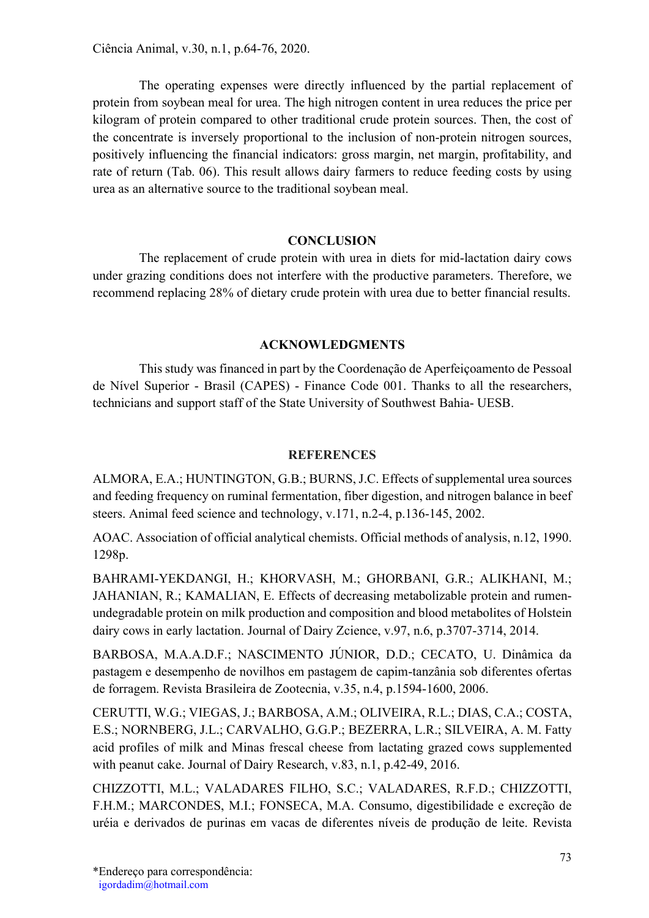The operating expenses were directly influenced by the partial replacement of protein from soybean meal for urea. The high nitrogen content in urea reduces the price per kilogram of protein compared to other traditional crude protein sources. Then, the cost of the concentrate is inversely proportional to the inclusion of non-protein nitrogen sources, positively influencing the financial indicators: gross margin, net margin, profitability, and rate of return (Tab. 06). This result allows dairy farmers to reduce feeding costs by using urea as an alternative source to the traditional soybean meal.

# **CONCLUSION**

The replacement of crude protein with urea in diets for mid-lactation dairy cows under grazing conditions does not interfere with the productive parameters. Therefore, we recommend replacing 28% of dietary crude protein with urea due to better financial results.

# ACKNOWLEDGMENTS

This study was financed in part by the Coordenação de Aperfeiçoamento de Pessoal de Nível Superior - Brasil (CAPES) - Finance Code 001. Thanks to all the researchers, technicians and support staff of the State University of Southwest Bahia- UESB.

## **REFERENCES**

ALMORA, E.A.; HUNTINGTON, G.B.; BURNS, J.C. Effects of supplemental urea sources and feeding frequency on ruminal fermentation, fiber digestion, and nitrogen balance in beef steers. Animal feed science and technology, v.171, n.2-4, p.136-145, 2002.

AOAC. Association of official analytical chemists. Official methods of analysis, n.12, 1990. 1298p.

BAHRAMI-YEKDANGI, H.; KHORVASH, M.; GHORBANI, G.R.; ALIKHANI, M.; JAHANIAN, R.; KAMALIAN, E. Effects of decreasing metabolizable protein and rumenundegradable protein on milk production and composition and blood metabolites of Holstein dairy cows in early lactation. Journal of Dairy Zcience, v.97, n.6, p.3707-3714, 2014.

BARBOSA, M.A.A.D.F.; NASCIMENTO JÚNIOR, D.D.; CECATO, U. Dinâmica da pastagem e desempenho de novilhos em pastagem de capim-tanzânia sob diferentes ofertas de forragem. Revista Brasileira de Zootecnia, v.35, n.4, p.1594-1600, 2006.

CERUTTI, W.G.; VIEGAS, J.; BARBOSA, A.M.; OLIVEIRA, R.L.; DIAS, C.A.; COSTA, E.S.; NORNBERG, J.L.; CARVALHO, G.G.P.; BEZERRA, L.R.; SILVEIRA, A. M. Fatty acid profiles of milk and Minas frescal cheese from lactating grazed cows supplemented with peanut cake. Journal of Dairy Research, v.83, n.1, p.42-49, 2016.

CHIZZOTTI, M.L.; VALADARES FILHO, S.C.; VALADARES, R.F.D.; CHIZZOTTI, F.H.M.; MARCONDES, M.I.; FONSECA, M.A. Consumo, digestibilidade e excreção de uréia e derivados de purinas em vacas de diferentes níveis de produção de leite. Revista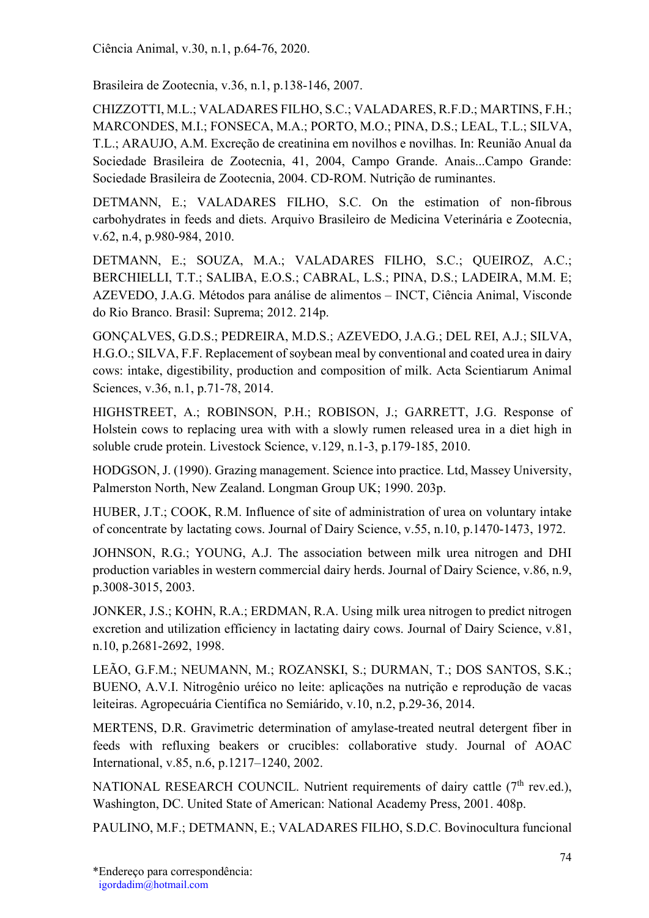Brasileira de Zootecnia, v.36, n.1, p.138-146, 2007.

CHIZZOTTI, M.L.; VALADARES FILHO, S.C.; VALADARES, R.F.D.; MARTINS, F.H.; MARCONDES, M.I.; FONSECA, M.A.; PORTO, M.O.; PINA, D.S.; LEAL, T.L.; SILVA, T.L.; ARAUJO, A.M. Excreção de creatinina em novilhos e novilhas. In: Reunião Anual da Sociedade Brasileira de Zootecnia, 41, 2004, Campo Grande. Anais...Campo Grande: Sociedade Brasileira de Zootecnia, 2004. CD-ROM. Nutrição de ruminantes.

DETMANN, E.; VALADARES FILHO, S.C. On the estimation of non-fibrous carbohydrates in feeds and diets. Arquivo Brasileiro de Medicina Veterinária e Zootecnia, v.62, n.4, p.980-984, 2010.

DETMANN, E.; SOUZA, M.A.; VALADARES FILHO, S.C.; QUEIROZ, A.C.; BERCHIELLI, T.T.; SALIBA, E.O.S.; CABRAL, L.S.; PINA, D.S.; LADEIRA, M.M. E; AZEVEDO, J.A.G. Métodos para análise de alimentos – INCT, Ciência Animal, Visconde do Rio Branco. Brasil: Suprema; 2012. 214p.

GONÇALVES, G.D.S.; PEDREIRA, M.D.S.; AZEVEDO, J.A.G.; DEL REI, A.J.; SILVA, H.G.O.; SILVA, F.F. Replacement of soybean meal by conventional and coated urea in dairy cows: intake, digestibility, production and composition of milk. Acta Scientiarum Animal Sciences, v.36, n.1, p.71-78, 2014.

HIGHSTREET, A.; ROBINSON, P.H.; ROBISON, J.; GARRETT, J.G. Response of Holstein cows to replacing urea with with a slowly rumen released urea in a diet high in soluble crude protein. Livestock Science, v.129, n.1-3, p.179-185, 2010.

HODGSON, J. (1990). Grazing management. Science into practice. Ltd, Massey University, Palmerston North, New Zealand. Longman Group UK; 1990. 203p.

HUBER, J.T.; COOK, R.M. Influence of site of administration of urea on voluntary intake of concentrate by lactating cows. Journal of Dairy Science, v.55, n.10, p.1470-1473, 1972.

JOHNSON, R.G.; YOUNG, A.J. The association between milk urea nitrogen and DHI production variables in western commercial dairy herds. Journal of Dairy Science, v.86, n.9, p.3008-3015, 2003.

JONKER, J.S.; KOHN, R.A.; ERDMAN, R.A. Using milk urea nitrogen to predict nitrogen excretion and utilization efficiency in lactating dairy cows. Journal of Dairy Science, v.81, n.10, p.2681-2692, 1998.

LEÃO, G.F.M.; NEUMANN, M.; ROZANSKI, S.; DURMAN, T.; DOS SANTOS, S.K.; BUENO, A.V.I. Nitrogênio uréico no leite: aplicações na nutrição e reprodução de vacas leiteiras. Agropecuária Científica no Semiárido, v.10, n.2, p.29-36, 2014.

MERTENS, D.R. Gravimetric determination of amylase-treated neutral detergent fiber in feeds with refluxing beakers or crucibles: collaborative study. Journal of AOAC International, v.85, n.6, p.1217–1240, 2002.

NATIONAL RESEARCH COUNCIL. Nutrient requirements of dairy cattle  $(7<sup>th</sup>$  rev.ed.), Washington, DC. United State of American: National Academy Press, 2001. 408p.

PAULINO, M.F.; DETMANN, E.; VALADARES FILHO, S.D.C. Bovinocultura funcional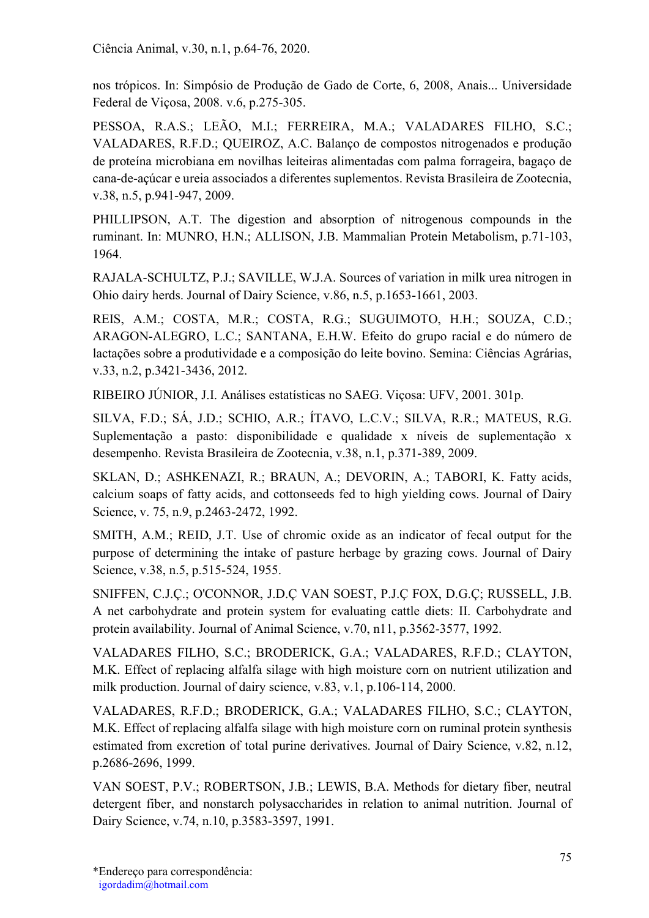nos trópicos. In: Simpósio de Produção de Gado de Corte, 6, 2008, Anais... Universidade Federal de Viçosa, 2008. v.6, p.275-305.

PESSOA, R.A.S.; LEÃO, M.I.; FERREIRA, M.A.; VALADARES FILHO, S.C.; VALADARES, R.F.D.; QUEIROZ, A.C. Balanço de compostos nitrogenados e produção de proteína microbiana em novilhas leiteiras alimentadas com palma forrageira, bagaço de cana-de-açúcar e ureia associados a diferentes suplementos. Revista Brasileira de Zootecnia, v.38, n.5, p.941-947, 2009.

PHILLIPSON, A.T. The digestion and absorption of nitrogenous compounds in the ruminant. In: MUNRO, H.N.; ALLISON, J.B. Mammalian Protein Metabolism, p.71-103, 1964.

RAJALA-SCHULTZ, P.J.; SAVILLE, W.J.A. Sources of variation in milk urea nitrogen in Ohio dairy herds. Journal of Dairy Science, v.86, n.5, p.1653-1661, 2003.

REIS, A.M.; COSTA, M.R.; COSTA, R.G.; SUGUIMOTO, H.H.; SOUZA, C.D.; ARAGON-ALEGRO, L.C.; SANTANA, E.H.W. Efeito do grupo racial e do número de lactações sobre a produtividade e a composição do leite bovino. Semina: Ciências Agrárias, v.33, n.2, p.3421-3436, 2012.

RIBEIRO JÚNIOR, J.I. Análises estatísticas no SAEG. Viçosa: UFV, 2001. 301p.

SILVA, F.D.; SÁ, J.D.; SCHIO, A.R.; ÍTAVO, L.C.V.; SILVA, R.R.; MATEUS, R.G. Suplementação a pasto: disponibilidade e qualidade x níveis de suplementação x desempenho. Revista Brasileira de Zootecnia, v.38, n.1, p.371-389, 2009.

SKLAN, D.; ASHKENAZI, R.; BRAUN, A.; DEVORIN, A.; TABORI, K. Fatty acids, calcium soaps of fatty acids, and cottonseeds fed to high yielding cows. Journal of Dairy Science, v. 75, n.9, p.2463-2472, 1992.

SMITH, A.M.; REID, J.T. Use of chromic oxide as an indicator of fecal output for the purpose of determining the intake of pasture herbage by grazing cows. Journal of Dairy Science, v.38, n.5, p.515-524, 1955.

SNIFFEN, C.J.Ç.; O'CONNOR, J.D.Ç VAN SOEST, P.J.Ç FOX, D.G.Ç; RUSSELL, J.B. A net carbohydrate and protein system for evaluating cattle diets: II. Carbohydrate and protein availability. Journal of Animal Science, v.70, n11, p.3562-3577, 1992.

VALADARES FILHO, S.C.; BRODERICK, G.A.; VALADARES, R.F.D.; CLAYTON, M.K. Effect of replacing alfalfa silage with high moisture corn on nutrient utilization and milk production. Journal of dairy science, v.83, v.1, p.106-114, 2000.

VALADARES, R.F.D.; BRODERICK, G.A.; VALADARES FILHO, S.C.; CLAYTON, M.K. Effect of replacing alfalfa silage with high moisture corn on ruminal protein synthesis estimated from excretion of total purine derivatives. Journal of Dairy Science, v.82, n.12, p.2686-2696, 1999.

VAN SOEST, P.V.; ROBERTSON, J.B.; LEWIS, B.A. Methods for dietary fiber, neutral detergent fiber, and nonstarch polysaccharides in relation to animal nutrition. Journal of Dairy Science, v.74, n.10, p.3583-3597, 1991.